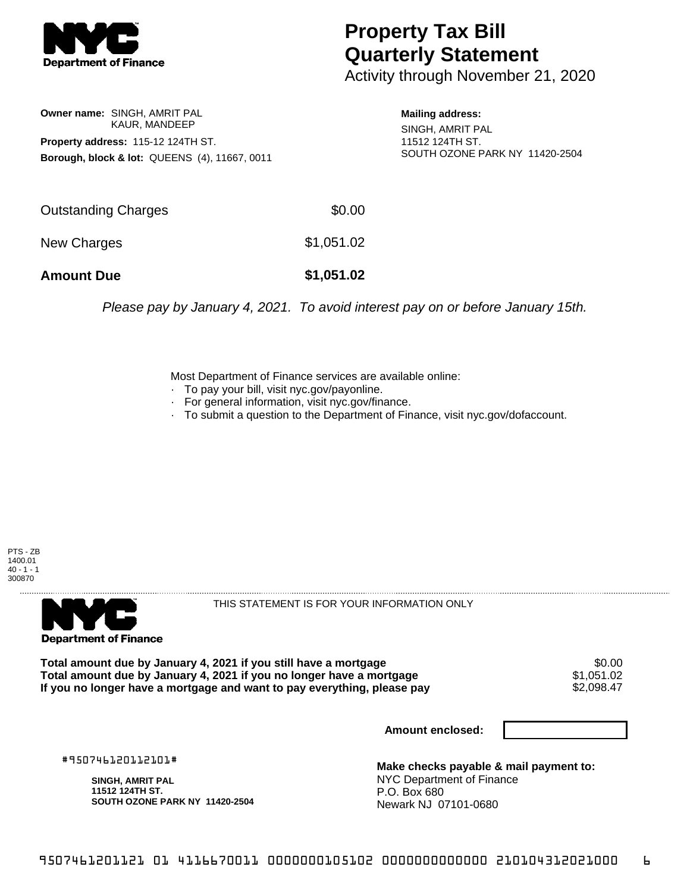

**Owner name:** SINGH, AMRIT PAL

**Property address:** 115-12 124TH ST.

KAUR, MANDEEP

**Borough, block & lot:** QUEENS (4), 11667, 0011

## **Property Tax Bill Quarterly Statement**

Activity through November 21, 2020

**Mailing address:** SINGH, AMRIT PAL 11512 124TH ST. SOUTH OZONE PARK NY 11420-2504

| <b>Amount Due</b>   | \$1,051.02 |
|---------------------|------------|
| New Charges         | \$1,051.02 |
| Outstanding Charges | \$0.00     |

Please pay by January 4, 2021. To avoid interest pay on or before January 15th.

Most Department of Finance services are available online:

- · To pay your bill, visit nyc.gov/payonline.
- For general information, visit nyc.gov/finance.
- · To submit a question to the Department of Finance, visit nyc.gov/dofaccount.





THIS STATEMENT IS FOR YOUR INFORMATION ONLY

Total amount due by January 4, 2021 if you still have a mortgage \$0.00<br>Total amount due by January 4, 2021 if you no longer have a mortgage \$1.051.02 **Total amount due by January 4, 2021 if you no longer have a mortgage**  $$1,051.02$ **<br>If you no longer have a mortgage and want to pay everything, please pay**  $$2,098.47$ If you no longer have a mortgage and want to pay everything, please pay

**Amount enclosed:**

#950746120112101#

**SINGH, AMRIT PAL 11512 124TH ST. SOUTH OZONE PARK NY 11420-2504**

**Make checks payable & mail payment to:** NYC Department of Finance P.O. Box 680 Newark NJ 07101-0680